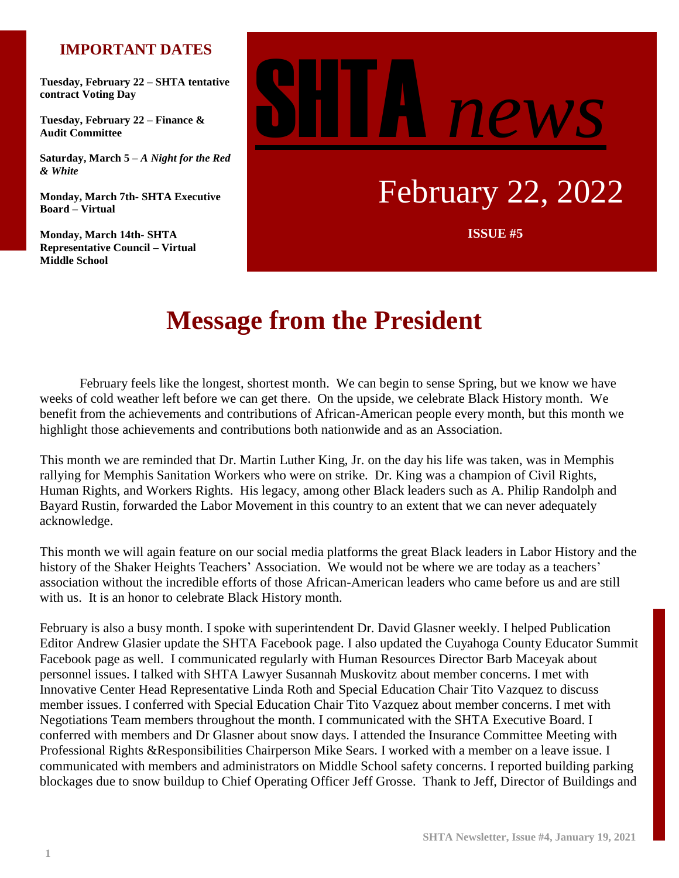# **IMPORTANT DATES**

**Tuesday, February 22 – SHTA tentative contract Voting Day**

**Tuesday, February 22 – Finance & Audit Committee**

**Saturday, March 5 –** *A Night for the Red & White*

**Monday, March 7th- SHTA Executive Board – Virtual**

**Monday, March 14th- SHTA Representative Council – Virtual Middle School**

# SHTA *news*

# February 22, 2022

**ISSUE #5**

# **Message from the President**

ISSUE NO. 5 February feels like the longest, shortest month. We can begin to sense Spring, but we know we have weeks of cold weather left before we can get there. On the upside, we celebrate Black History month. We benefit from the achievements and contributions of African-American people every month, but this month we highlight those achievements and contributions both nationwide and as an Association.

This month we are reminded that Dr. Martin Luther King, Jr. on the day his life was taken, was in Memphis rallying for Memphis Sanitation Workers who were on strike. Dr. King was a champion of Civil Rights, Human Rights, and Workers Rights. His legacy, among other Black leaders such as A. Philip Randolph and Bayard Rustin, forwarded the Labor Movement in this country to an extent that we can never adequately acknowledge.

This month we will again feature on our social media platforms the great Black leaders in Labor History and the history of the Shaker Heights Teachers' Association. We would not be where we are today as a teachers' association without the incredible efforts of those African-American leaders who came before us and are still with us. It is an honor to celebrate Black History month.

February is also a busy month. I spoke with superintendent Dr. David Glasner weekly. I helped Publication Editor Andrew Glasier update the SHTA Facebook page. I also updated the Cuyahoga County Educator Summit Facebook page as well. I communicated regularly with Human Resources Director Barb Maceyak about personnel issues. I talked with SHTA Lawyer Susannah Muskovitz about member concerns. I met with Innovative Center Head Representative Linda Roth and Special Education Chair Tito Vazquez to discuss member issues. I conferred with Special Education Chair Tito Vazquez about member concerns. I met with Negotiations Team members throughout the month. I communicated with the SHTA Executive Board. I conferred with members and Dr Glasner about snow days. I attended the Insurance Committee Meeting with Professional Rights &Responsibilities Chairperson Mike Sears. I worked with a member on a leave issue. I communicated with members and administrators on Middle School safety concerns. I reported building parking blockages due to snow buildup to Chief Operating Officer Jeff Grosse. Thank to Jeff, Director of Buildings and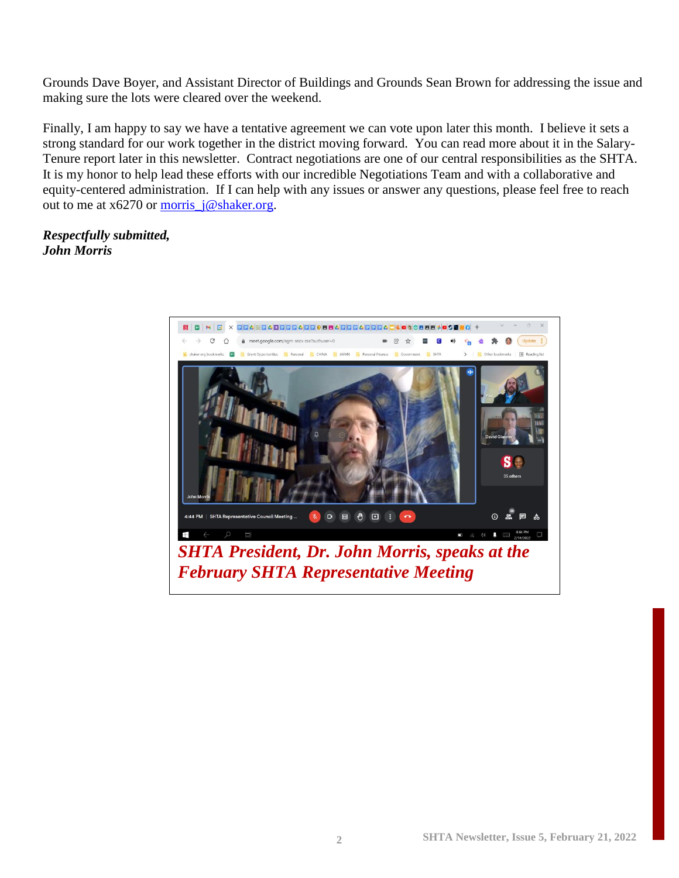Grounds Dave Boyer, and Assistant Director of Buildings and Grounds Sean Brown for addressing the issue and making sure the lots were cleared over the weekend.

Finally, I am happy to say we have a tentative agreement we can vote upon later this month. I believe it sets a strong standard for our work together in the district moving forward. You can read more about it in the Salary-Tenure report later in this newsletter. Contract negotiations are one of our central responsibilities as the SHTA. It is my honor to help lead these efforts with our incredible Negotiations Team and with a collaborative and equity-centered administration. If I can help with any issues or answer any questions, please feel free to reach out to me at  $x6270$  or [morris\\_j@shaker.org.](mailto:morris_j@shaker.org)

# *Respectfully submitted, John Morris*

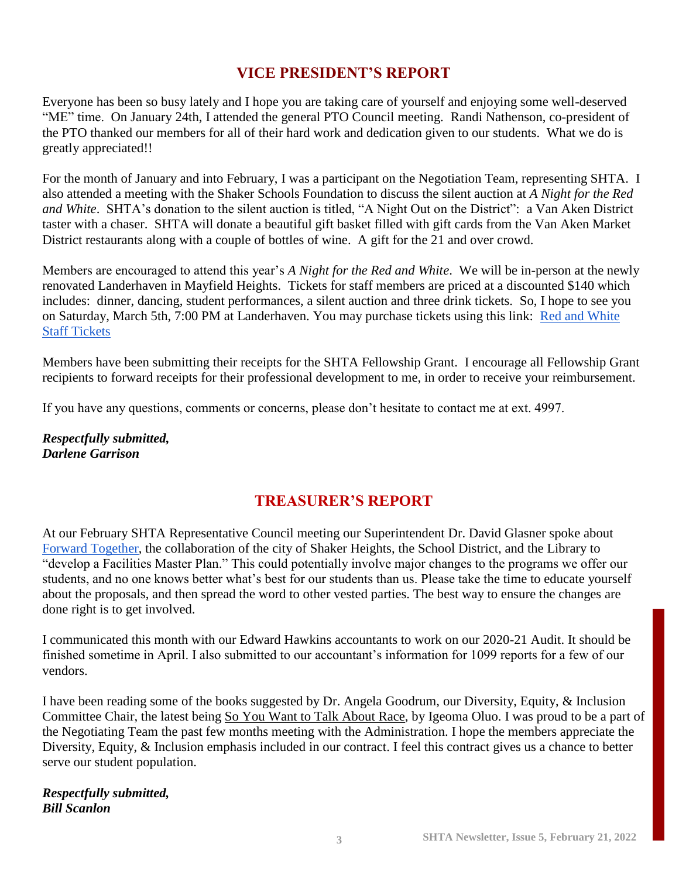# **VICE PRESIDENT'S REPORT**

Everyone has been so busy lately and I hope you are taking care of yourself and enjoying some well-deserved "ME" time. On January 24th, I attended the general PTO Council meeting. Randi Nathenson, co-president of the PTO thanked our members for all of their hard work and dedication given to our students. What we do is greatly appreciated!!

For the month of January and into February, I was a participant on the Negotiation Team, representing SHTA. I also attended a meeting with the Shaker Schools Foundation to discuss the silent auction at *A Night for the Red and White*. SHTA's donation to the silent auction is titled, "A Night Out on the District": a Van Aken District taster with a chaser. SHTA will donate a beautiful gift basket filled with gift cards from the Van Aken Market District restaurants along with a couple of bottles of wine. A gift for the 21 and over crowd.

Members are encouraged to attend this year's *A Night for the Red and White*. We will be in-person at the newly renovated Landerhaven in Mayfield Heights. Tickets for staff members are priced at a discounted \$140 which includes: dinner, dancing, student performances, a silent auction and three drink tickets. So, I hope to see you on Saturday, March 5th, 7:00 PM at Landerhaven. You may purchase tickets using this link: Red and White [Staff Tickets](https://one.bidpal.net/redandwhite22/ticketing(details:ticketing-summary))

Members have been submitting their receipts for the SHTA Fellowship Grant. I encourage all Fellowship Grant recipients to forward receipts for their professional development to me, in order to receive your reimbursement.

If you have any questions, comments or concerns, please don't hesitate to contact me at ext. 4997.

*Respectfully submitted, Darlene Garrison*

# **TREASURER'S REPORT**

At our February SHTA Representative Council meeting our Superintendent Dr. David Glasner spoke about [Forward Together,](https://forwardtogethershaker.com/) the collaboration of the city of Shaker Heights, the School District, and the Library to "develop a Facilities Master Plan." This could potentially involve major changes to the programs we offer our students, and no one knows better what's best for our students than us. Please take the time to educate yourself about the proposals, and then spread the word to other vested parties. The best way to ensure the changes are done right is to get involved.

I communicated this month with our Edward Hawkins accountants to work on our 2020-21 Audit. It should be finished sometime in April. I also submitted to our accountant's information for 1099 reports for a few of our vendors.

I have been reading some of the books suggested by Dr. Angela Goodrum, our Diversity, Equity, & Inclusion Committee Chair, the latest being So You Want to Talk About Race, by Igeoma Oluo. I was proud to be a part of the Negotiating Team the past few months meeting with the Administration. I hope the members appreciate the Diversity, Equity, & Inclusion emphasis included in our contract. I feel this contract gives us a chance to better serve our student population.

*Respectfully submitted, Bill Scanlon*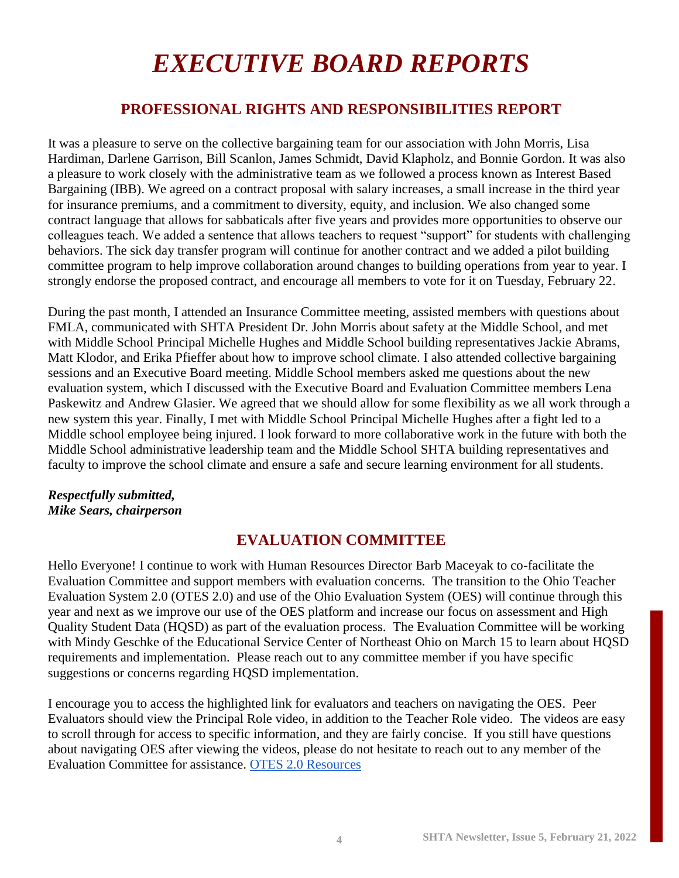# *EXECUTIVE BOARD REPORTS*

# **PROFESSIONAL RIGHTS AND RESPONSIBILITIES REPORT**

It was a pleasure to serve on the collective bargaining team for our association with John Morris, Lisa Hardiman, Darlene Garrison, Bill Scanlon, James Schmidt, David Klapholz, and Bonnie Gordon. It was also a pleasure to work closely with the administrative team as we followed a process known as Interest Based Bargaining (IBB). We agreed on a contract proposal with salary increases, a small increase in the third year for insurance premiums, and a commitment to diversity, equity, and inclusion. We also changed some contract language that allows for sabbaticals after five years and provides more opportunities to observe our colleagues teach. We added a sentence that allows teachers to request "support" for students with challenging behaviors. The sick day transfer program will continue for another contract and we added a pilot building committee program to help improve collaboration around changes to building operations from year to year. I strongly endorse the proposed contract, and encourage all members to vote for it on Tuesday, February 22.

During the past month, I attended an Insurance Committee meeting, assisted members with questions about FMLA, communicated with SHTA President Dr. John Morris about safety at the Middle School, and met with Middle School Principal Michelle Hughes and Middle School building representatives Jackie Abrams, Matt Klodor, and Erika Pfieffer about how to improve school climate. I also attended collective bargaining sessions and an Executive Board meeting. Middle School members asked me questions about the new evaluation system, which I discussed with the Executive Board and Evaluation Committee members Lena Paskewitz and Andrew Glasier. We agreed that we should allow for some flexibility as we all work through a new system this year. Finally, I met with Middle School Principal Michelle Hughes after a fight led to a Middle school employee being injured. I look forward to more collaborative work in the future with both the Middle School administrative leadership team and the Middle School SHTA building representatives and faculty to improve the school climate and ensure a safe and secure learning environment for all students.

#### *Respectfully submitted, Mike Sears, chairperson*

# **EVALUATION COMMITTEE**

Hello Everyone! I continue to work with Human Resources Director Barb Maceyak to co-facilitate the Evaluation Committee and support members with evaluation concerns. The transition to the Ohio Teacher Evaluation System 2.0 (OTES 2.0) and use of the Ohio Evaluation System (OES) will continue through this year and next as we improve our use of the OES platform and increase our focus on assessment and High Quality Student Data (HQSD) as part of the evaluation process. The Evaluation Committee will be working with Mindy Geschke of the Educational Service Center of Northeast Ohio on March 15 to learn about HQSD requirements and implementation. Please reach out to any committee member if you have specific suggestions or concerns regarding HQSD implementation.

I encourage you to access the highlighted link for evaluators and teachers on navigating the OES. Peer Evaluators should view the Principal Role video, in addition to the Teacher Role video. The videos are easy to scroll through for access to specific information, and they are fairly concise. If you still have questions about navigating OES after viewing the videos, please do not hesitate to reach out to any member of the Evaluation Committee for assistance. [OTES 2.0 Resources](https://docs.google.com/presentation/d/1ImaSSHvfdLwOFLSazlR9qKckTUw2CvPT2Udyc1W_rrQ/edit?usp=sharing)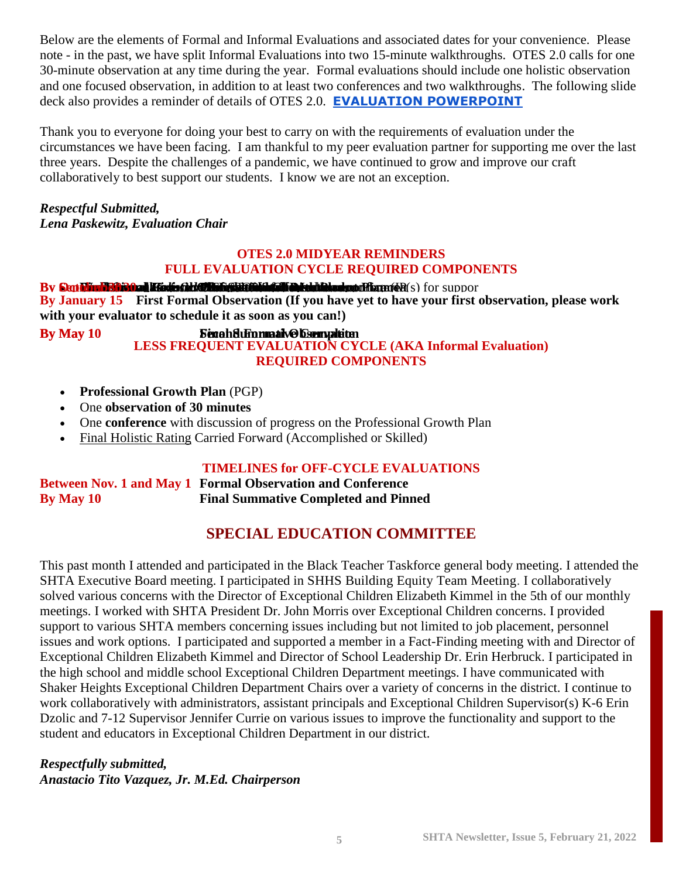Below are the elements of Formal and Informal Evaluations and associated dates for your convenience. Please note - in the past, we have split Informal Evaluations into two 15-minute walkthroughs. OTES 2.0 calls for one 30-minute observation at any time during the year. Formal evaluations should include one holistic observation and one focused observation, in addition to at least two conferences and two walkthroughs. The following slide deck also provides a reminder of details of OTES 2.0. **[EVALUATION POWERPOINT](https://docs.google.com/presentation/u/0/d/1wPm_xsDTMM6KvPoBJNRmiu57GkP1AyTQl51-iMB971Q/edit)**

Thank you to everyone for doing your best to carry on with the requirements of evaluation under the circumstances we have been facing. I am thankful to my peer evaluation partner for supporting me over the last three years. Despite the challenges of a pandemic, we have continued to grow and improve our craft collaboratively to best support our students. I know we are not an exception.

# *Respectful Submitted,*

*Lena Paskewitz, Evaluation Chair*

#### **OTES 2.0 MIDYEAR REMINDERS FULL EVALUATION CYCLE REQUIRED COMPONENTS**

#### By Skitch Hann Call the Control of the Control of California and the emotion of support

**By January 15 First Formal Observation (If you have yet to have your first observation, please work with your evaluator to schedule it as soon as you can!)**

#### **By May 10 Second Formative Complete LESS FREQUENT EVALUATION CYCLE (AKA Informal Evaluation)**

# **REQUIRED COMPONENTS**

- **Professional Growth Plan** (PGP)
- One **observation of 30 minutes**
- One **conference** with discussion of progress on the Professional Growth Plan
- [Final Holistic Rating](http://education.ohio.gov/getattachment/Topics/Teaching/Educator-Evaluation-System/Ohio-s-Teacher-Evaluation-System/OTES-2-0/Final-Holistic-Rating-Carry-Forward.pdf.aspx?lang=en-US) Carried Forward (Accomplished or Skilled)

# **TIMELINES for OFF-CYCLE EVALUATIONS**

#### **Between Nov. 1 and May 1 Formal Observation and Conference By May 10 Final Summative Completed and Pinned**

# **SPECIAL EDUCATION COMMITTEE**

This past month I attended and participated in the Black Teacher Taskforce general body meeting. I attended the SHTA Executive Board meeting. I participated in SHHS Building Equity Team Meeting. I collaboratively solved various concerns with the Director of Exceptional Children Elizabeth Kimmel in the 5th of our monthly meetings. I worked with SHTA President Dr. John Morris over Exceptional Children concerns. I provided support to various SHTA members concerning issues including but not limited to job placement, personnel issues and work options. I participated and supported a member in a Fact-Finding meeting with and Director of Exceptional Children Elizabeth Kimmel and Director of School Leadership Dr. Erin Herbruck. I participated in the high school and middle school Exceptional Children Department meetings. I have communicated with Shaker Heights Exceptional Children Department Chairs over a variety of concerns in the district. I continue to work collaboratively with administrators, assistant principals and Exceptional Children Supervisor(s) K-6 Erin Dzolic and 7-12 Supervisor Jennifer Currie on various issues to improve the functionality and support to the student and educators in Exceptional Children Department in our district.

#### *Respectfully submitted, Anastacio Tito Vazquez, Jr. M.Ed. Chairperson*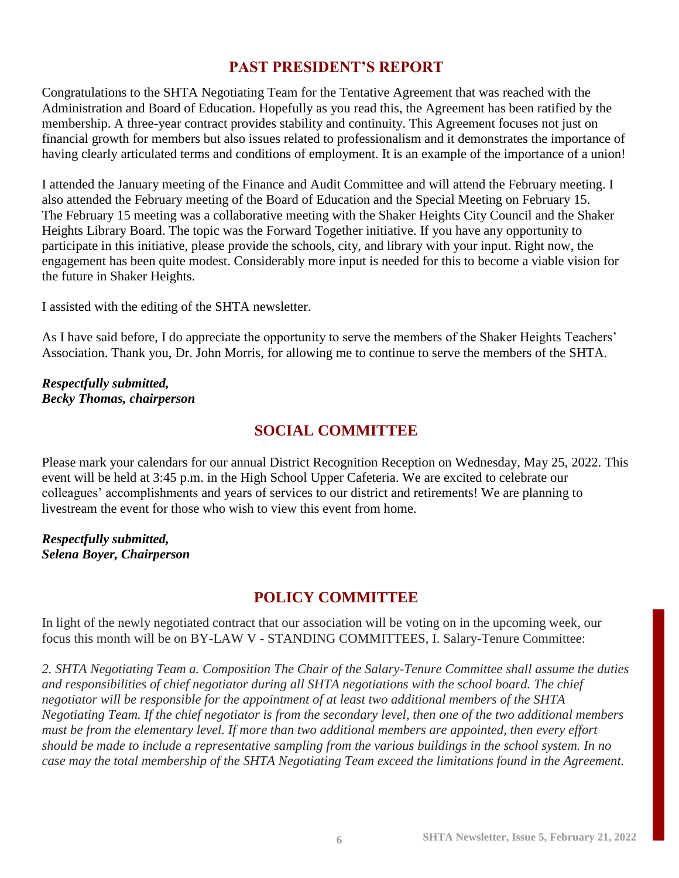# **PAST PRESIDENT'S REPORT**

Congratulations to the SHTA Negotiating Team for the Tentative Agreement that was reached with the Administration and Board of Education. Hopefully as you read this, the Agreement has been ratified by the membership. A three-year contract provides stability and continuity. This Agreement focuses not just on financial growth for members but also issues related to professionalism and it demonstrates the importance of having clearly articulated terms and conditions of employment. It is an example of the importance of a union!

I attended the January meeting of the Finance and Audit Committee and will attend the February meeting. I also attended the February meeting of the Board of Education and the Special Meeting on February 15. The February 15 meeting was a collaborative meeting with the Shaker Heights City Council and the Shaker Heights Library Board. The topic was the Forward Together initiative. If you have any opportunity to participate in this initiative, please provide the schools, city, and library with your input. Right now, the engagement has been quite modest. Considerably more input is needed for this to become a viable vision for the future in Shaker Heights.

I assisted with the editing of the SHTA newsletter.

As I have said before, I do appreciate the opportunity to serve the members of the Shaker Heights Teachers' Association. Thank you, Dr. John Morris, for allowing me to continue to serve the members of the SHTA.

#### *Respectfully submitted, Becky Thomas, chairperson*

# **SOCIAL COMMITTEE**

Please mark your calendars for our annual District Recognition Reception on Wednesday, May 25, 2022. This event will be held at 3:45 p.m. in the High School Upper Cafeteria. We are excited to celebrate our colleagues' accomplishments and years of services to our district and retirements! We are planning to livestream the event for those who wish to view this event from home.

#### *Respectfully submitted, Selena Boyer, Chairperson*

# **POLICY COMMITTEE**

In light of the newly negotiated contract that our association will be voting on in the upcoming week, our focus this month will be on BY-LAW V - STANDING COMMITTEES, I. Salary-Tenure Committee:

*2. SHTA Negotiating Team a. Composition The Chair of the Salary-Tenure Committee shall assume the duties and responsibilities of chief negotiator during all SHTA negotiations with the school board. The chief negotiator will be responsible for the appointment of at least two additional members of the SHTA Negotiating Team. If the chief negotiator is from the secondary level, then one of the two additional members must be from the elementary level. If more than two additional members are appointed, then every effort should be made to include a representative sampling from the various buildings in the school system. In no case may the total membership of the SHTA Negotiating Team exceed the limitations found in the Agreement.*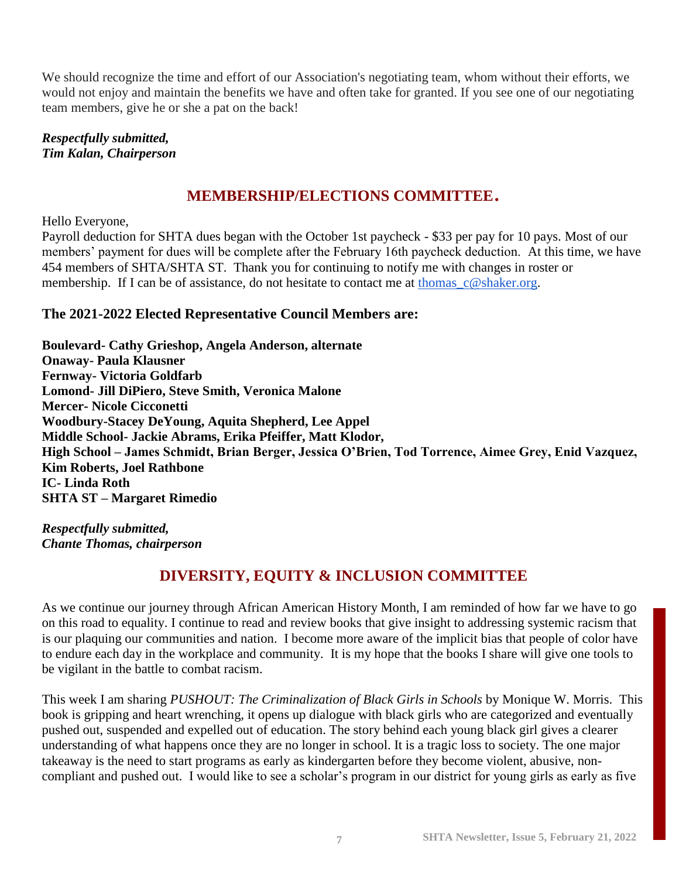We should recognize the time and effort of our Association's negotiating team, whom without their efforts, we would not enjoy and maintain the benefits we have and often take for granted. If you see one of our negotiating team members, give he or she a pat on the back!

*Respectfully submitted, Tim Kalan, Chairperson*

# **MEMBERSHIP/ELECTIONS COMMITTEE**.

Hello Everyone,

Payroll deduction for SHTA dues began with the October 1st paycheck - \$33 per pay for 10 pays. Most of our members' payment for dues will be complete after the February 16th paycheck deduction. At this time, we have 454 members of SHTA/SHTA ST. Thank you for continuing to notify me with changes in roster or membership. If I can be of assistance, do not hesitate to contact me at thomas  $c@shaker.org$ .

# **The 2021-2022 Elected Representative Council Members are:**

**Boulevard- Cathy Grieshop, Angela Anderson, alternate Onaway- Paula Klausner Fernway- Victoria Goldfarb Lomond- Jill DiPiero, Steve Smith, Veronica Malone Mercer- Nicole Cicconetti Woodbury-Stacey DeYoung, Aquita Shepherd, Lee Appel Middle School- Jackie Abrams, Erika Pfeiffer, Matt Klodor, High School – James Schmidt, Brian Berger, Jessica O'Brien, Tod Torrence, Aimee Grey, Enid Vazquez, Kim Roberts, Joel Rathbone IC- Linda Roth SHTA ST – Margaret Rimedio**

*Respectfully submitted, Chante Thomas, chairperson*

# **DIVERSITY, EQUITY & INCLUSION COMMITTEE**

As we continue our journey through African American History Month, I am reminded of how far we have to go on this road to equality. I continue to read and review books that give insight to addressing systemic racism that is our plaquing our communities and nation. I become more aware of the implicit bias that people of color have to endure each day in the workplace and community. It is my hope that the books I share will give one tools to be vigilant in the battle to combat racism.

This week I am sharing *PUSHOUT: The Criminalization of Black Girls in Schools* by Monique W. Morris. This book is gripping and heart wrenching, it opens up dialogue with black girls who are categorized and eventually pushed out, suspended and expelled out of education. The story behind each young black girl gives a clearer understanding of what happens once they are no longer in school. It is a tragic loss to society. The one major takeaway is the need to start programs as early as kindergarten before they become violent, abusive, noncompliant and pushed out. I would like to see a scholar's program in our district for young girls as early as five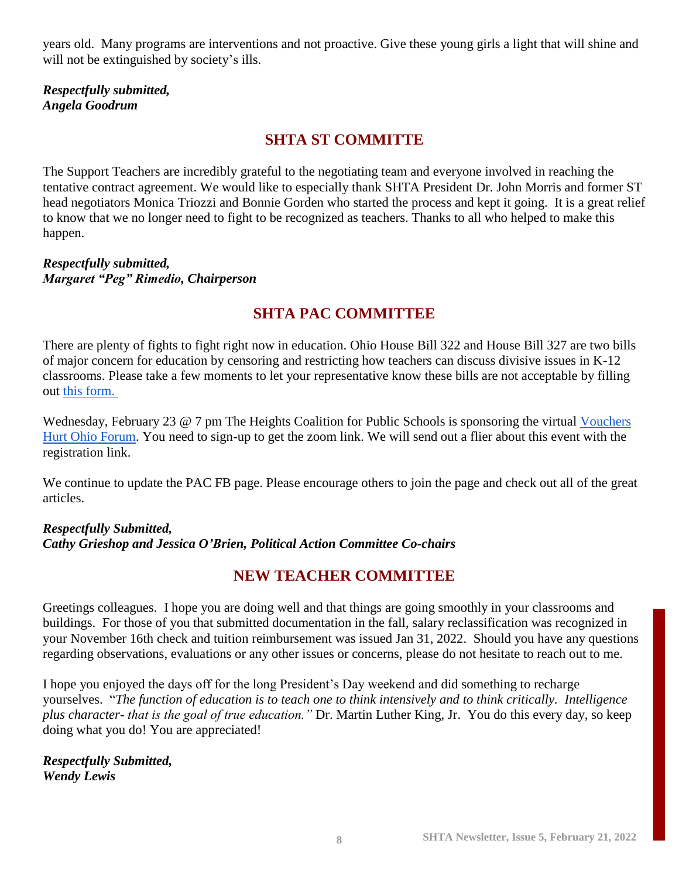years old. Many programs are interventions and not proactive. Give these young girls a light that will shine and will not be extinguished by society's ills.

*Respectfully submitted, Angela Goodrum*

# **SHTA ST COMMITTE**

The Support Teachers are incredibly grateful to the negotiating team and everyone involved in reaching the tentative contract agreement. We would like to especially thank SHTA President Dr. John Morris and former ST head negotiators Monica Triozzi and Bonnie Gorden who started the process and kept it going. It is a great relief to know that we no longer need to fight to be recognized as teachers. Thanks to all who helped to make this happen.

#### *Respectfully submitted, Margaret "Peg" Rimedio, Chairperson*

# **SHTA PAC COMMITTEE**

There are plenty of fights to fight right now in education. Ohio House Bill 322 and House Bill 327 are two bills of major concern for education by censoring and restricting how teachers can discuss divisive issues in K-12 classrooms. Please take a few moments to let your representative know these bills are not acceptable by filling out [this form.](https://secure.ngpvan.com/wmYUDBMGnEipoIzWgDwHOg2)

Wednesday, February 23 @ 7 pm The Heights Coalition for Public Schools is sponsoring the virtual Vouchers [Hurt Ohio Forum.](https://docs.google.com/document/u/0/d/12MRi2MDcsi5rEe1R4VUDnM7LD9LwMfFCJ2dZvV0RFEI/edit) You need to sign-up to get the zoom link. We will send out a flier about this event with the registration link.

We continue to update the PAC FB page. Please encourage others to join the page and check out all of the great articles.

# *Respectfully Submitted, Cathy Grieshop and Jessica O'Brien, Political Action Committee Co-chairs*

# **NEW TEACHER COMMITTEE**

Greetings colleagues. I hope you are doing well and that things are going smoothly in your classrooms and buildings. For those of you that submitted documentation in the fall, salary reclassification was recognized in your November 16th check and tuition reimbursement was issued Jan 31, 2022. Should you have any questions regarding observations, evaluations or any other issues or concerns, please do not hesitate to reach out to me.

I hope you enjoyed the days off for the long President's Day weekend and did something to recharge yourselves. "*The function of education is to teach one to think intensively and to think critically. Intelligence plus character- that is the goal of true education."* Dr. Martin Luther King, Jr. You do this every day, so keep doing what you do! You are appreciated!

*Respectfully Submitted, Wendy Lewis*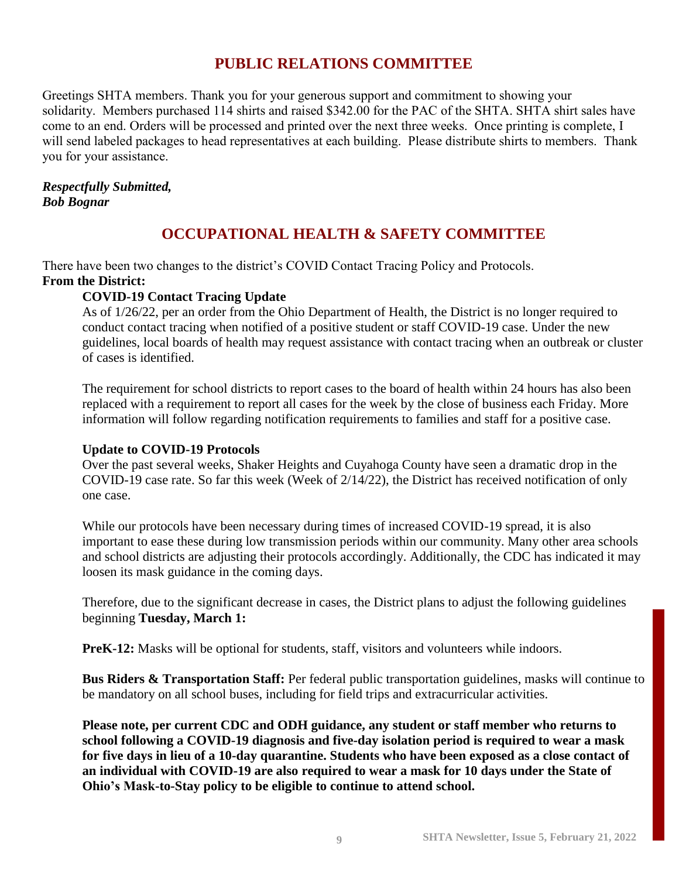# **PUBLIC RELATIONS COMMITTEE**

Greetings SHTA members. Thank you for your generous support and commitment to showing your solidarity. Members purchased 114 shirts and raised \$342.00 for the PAC of the SHTA. SHTA shirt sales have come to an end. Orders will be processed and printed over the next three weeks. Once printing is complete, I will send labeled packages to head representatives at each building. Please distribute shirts to members. Thank you for your assistance.

# *Respectfully Submitted, Bob Bognar*

# **OCCUPATIONAL HEALTH & SAFETY COMMITTEE**

There have been two changes to the district's COVID Contact Tracing Policy and Protocols.

#### **From the District:**

# **COVID-19 Contact Tracing Update**

As of 1/26/22, per an order from the Ohio Department of Health, the District is no longer required to conduct contact tracing when notified of a positive student or staff COVID-19 case. Under the new guidelines, local boards of health may request assistance with contact tracing when an outbreak or cluster of cases is identified.

The requirement for school districts to report cases to the board of health within 24 hours has also been replaced with a requirement to report all cases for the week by the close of business each Friday. More information will follow regarding notification requirements to families and staff for a positive case.

#### **Update to COVID-19 Protocols**

Over the past several weeks, Shaker Heights and Cuyahoga County have seen a dramatic drop in the COVID-19 case rate. So far this week (Week of 2/14/22), the District has received notification of only one case.

While our protocols have been necessary during times of increased COVID-19 spread, it is also important to ease these during low transmission periods within our community. Many other area schools and school districts are adjusting their protocols accordingly. Additionally, the CDC has indicated it may loosen its mask guidance in the coming days.

Therefore, due to the significant decrease in cases, the District plans to adjust the following guidelines beginning **Tuesday, March 1:**

**PreK-12:** Masks will be optional for students, staff, visitors and volunteers while indoors.

**Bus Riders & Transportation Staff:** Per federal public transportation guidelines, masks will continue to be mandatory on all school buses, including for field trips and extracurricular activities.

**Please note, per current CDC and ODH guidance, any student or staff member who returns to school following a COVID-19 diagnosis and five-day isolation period is required to wear a mask for five days in lieu of a 10-day quarantine. Students who have been exposed as a close contact of an individual with COVID-19 are also required to wear a mask for 10 days under the State of Ohio's Mask-to-Stay policy to be eligible to continue to attend school.**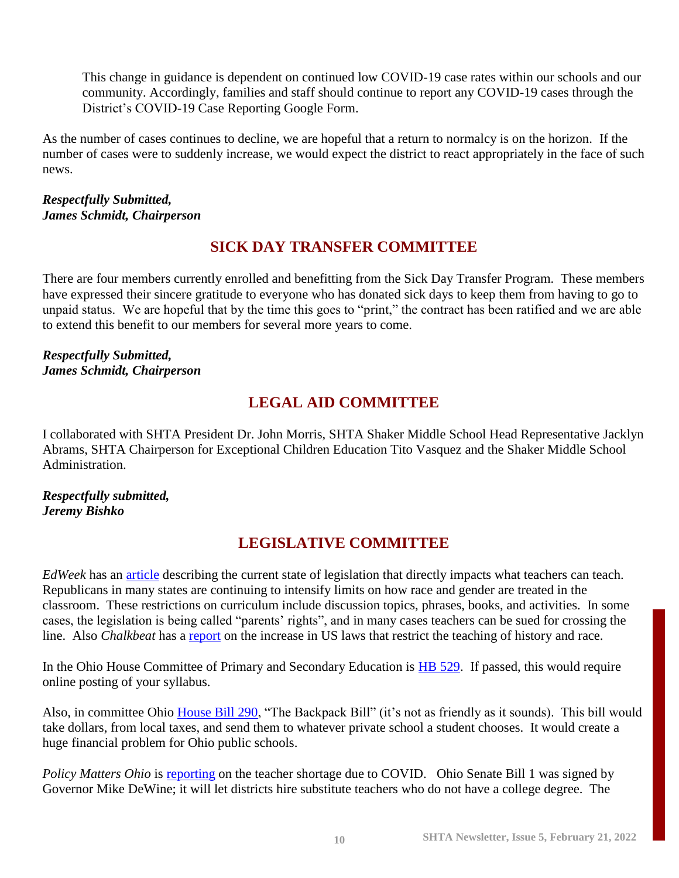This change in guidance is dependent on continued low COVID-19 case rates within our schools and our community. Accordingly, families and staff should continue to report any COVID-19 cases through the District's COVID-19 Case Reporting Google Form.

As the number of cases continues to decline, we are hopeful that a return to normalcy is on the horizon. If the number of cases were to suddenly increase, we would expect the district to react appropriately in the face of such news.

#### *Respectfully Submitted, James Schmidt, Chairperson*

# **SICK DAY TRANSFER COMMITTEE**

There are four members currently enrolled and benefitting from the Sick Day Transfer Program. These members have expressed their sincere gratitude to everyone who has donated sick days to keep them from having to go to unpaid status. We are hopeful that by the time this goes to "print," the contract has been ratified and we are able to extend this benefit to our members for several more years to come.

#### *Respectfully Submitted, James Schmidt, Chairperson*

# **LEGAL AID COMMITTEE**

I collaborated with SHTA President Dr. John Morris, SHTA Shaker Middle School Head Representative Jacklyn Abrams, SHTA Chairperson for Exceptional Children Education Tito Vasquez and the Shaker Middle School Administration.

# *Respectfully submitted, Jeremy Bishko*

# **LEGISLATIVE COMMITTEE**

*EdWeek* has an [article](https://www.edweek.org/policy-politics/heres-the-long-list-of-topics-republicans-want-banned-from-the-classroom/2022/02) describing the current state of legislation that directly impacts what teachers can teach. Republicans in many states are continuing to intensify limits on how race and gender are treated in the classroom. These restrictions on curriculum include discussion topics, phrases, books, and activities. In some cases, the legislation is being called "parents' rights", and in many cases teachers can be sued for crossing the line. Also *Chalkbeat* has a [report](https://www.chalkbeat.org/22525983/map-critical-race-theory-legislation-teaching-racism) on the increase in US laws that restrict the teaching of history and race.

In the Ohio House Committee of Primary and Secondary Education is [HB 529.](https://ohiohouse.gov/legislation/134/hb529) If passed, this would require online posting of your syllabus.

Also, in committee Ohio [House Bill 290,](https://ohiohouse.gov/legislation/134/hb290) "The Backpack Bill" (it's not as friendly as it sounds). This bill would take dollars, from local taxes, and send them to whatever private school a student chooses. It would create a huge financial problem for Ohio public schools.

*Policy Matters Ohio* is **reporting** on the teacher shortage due to COVID. Ohio Senate Bill 1 was signed by Governor Mike DeWine; it will let districts hire substitute teachers who do not have a college degree. The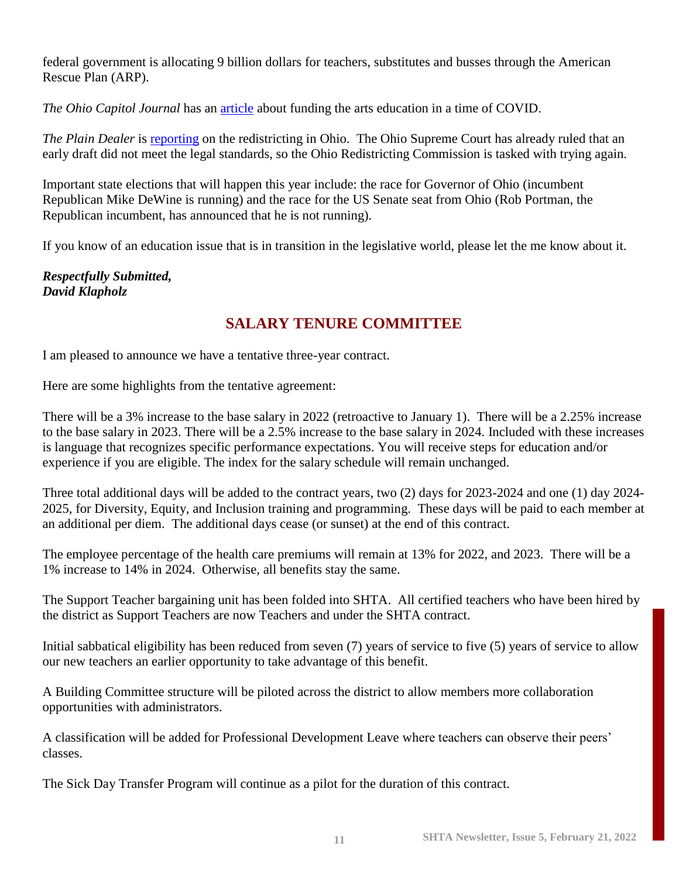federal government is allocating 9 billion dollars for teachers, substitutes and busses through the American Rescue Plan (ARP).

*The Ohio Capitol Journal* has an [article](https://ohiocapitaljournal.com/2022/01/31/art-helped-ohioans-endure-the-pandemic-advocates-say-support-shouldnt-change-afterward/) about funding the arts education in a time of COVID.

*The Plain Dealer* is [reporting](https://www.cleveland.com/news/2022/01/ohio-redistricting-commissions-republicans-ask-supreme-court-to-punt-decisions-on-gerrymandered-maps-past-2022-elections.html) on the redistricting in Ohio. The Ohio Supreme Court has already ruled that an early draft did not meet the legal standards, so the Ohio Redistricting Commission is tasked with trying again.

Important state elections that will happen this year include: the race for Governor of Ohio (incumbent Republican Mike DeWine is running) and the race for the US Senate seat from Ohio (Rob Portman, the Republican incumbent, has announced that he is not running).

If you know of an education issue that is in transition in the legislative world, please let the me know about it.

# *Respectfully Submitted, David Klapholz*

# **SALARY TENURE COMMITTEE**

I am pleased to announce we have a tentative three-year contract.

Here are some highlights from the tentative agreement:

There will be a 3% increase to the base salary in 2022 (retroactive to January 1). There will be a 2.25% increase to the base salary in 2023. There will be a 2.5% increase to the base salary in 2024. Included with these increases is language that recognizes specific performance expectations. You will receive steps for education and/or experience if you are eligible. The index for the salary schedule will remain unchanged.

Three total additional days will be added to the contract years, two (2) days for 2023-2024 and one (1) day 2024- 2025, for Diversity, Equity, and Inclusion training and programming. These days will be paid to each member at an additional per diem. The additional days cease (or sunset) at the end of this contract.

The employee percentage of the health care premiums will remain at 13% for 2022, and 2023. There will be a 1% increase to 14% in 2024. Otherwise, all benefits stay the same.

The Support Teacher bargaining unit has been folded into SHTA. All certified teachers who have been hired by the district as Support Teachers are now Teachers and under the SHTA contract.

Initial sabbatical eligibility has been reduced from seven (7) years of service to five (5) years of service to allow our new teachers an earlier opportunity to take advantage of this benefit.

A Building Committee structure will be piloted across the district to allow members more collaboration opportunities with administrators.

A classification will be added for Professional Development Leave where teachers can observe their peers' classes.

The Sick Day Transfer Program will continue as a pilot for the duration of this contract.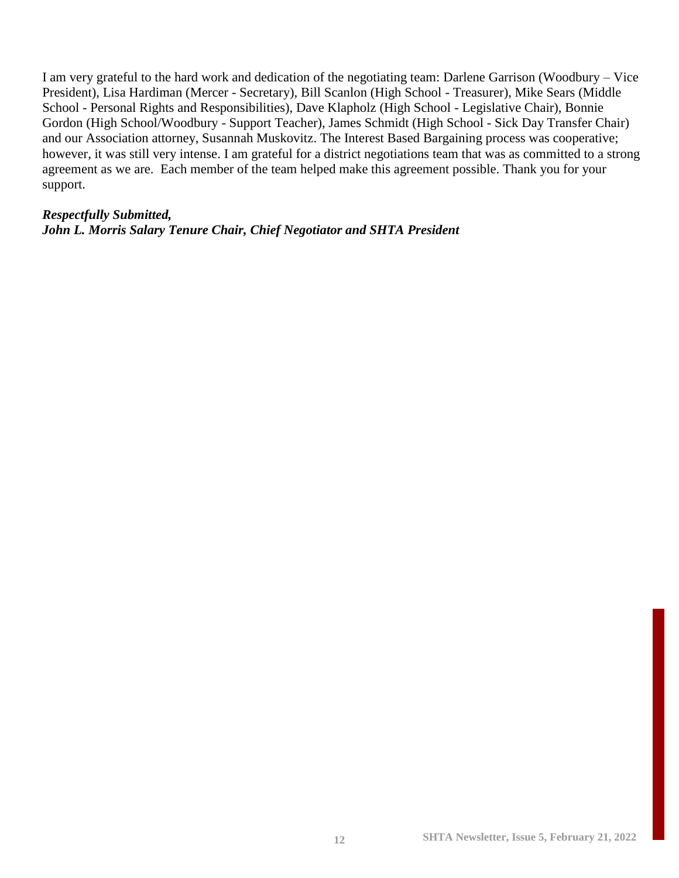I am very grateful to the hard work and dedication of the negotiating team: Darlene Garrison (Woodbury – Vice President), Lisa Hardiman (Mercer - Secretary), Bill Scanlon (High School - Treasurer), Mike Sears (Middle School - Personal Rights and Responsibilities), Dave Klapholz (High School - Legislative Chair), Bonnie Gordon (High School/Woodbury - Support Teacher), James Schmidt (High School - Sick Day Transfer Chair) and our Association attorney, Susannah Muskovitz. The Interest Based Bargaining process was cooperative; however, it was still very intense. I am grateful for a district negotiations team that was as committed to a strong agreement as we are. Each member of the team helped make this agreement possible. Thank you for your support.

#### *Respectfully Submitted,*

*John L. Morris Salary Tenure Chair, Chief Negotiator and SHTA President*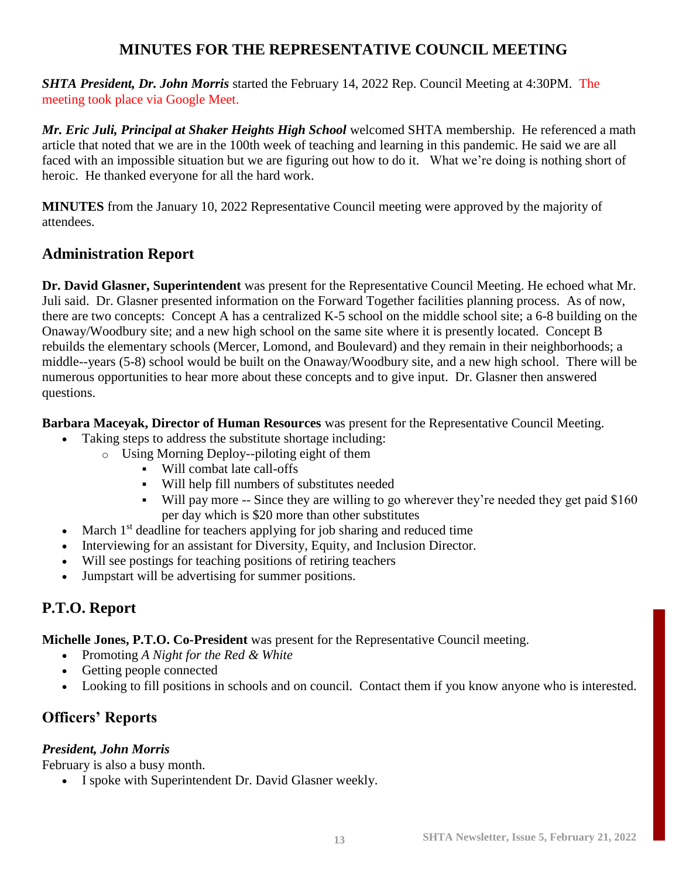# **MINUTES FOR THE REPRESENTATIVE COUNCIL MEETING**

*SHTA President, Dr. John Morris* started the February 14, 2022 Rep. Council Meeting at 4:30PM. The meeting took place via Google Meet.

*Mr. Eric Juli, Principal at Shaker Heights High School* welcomed SHTA membership. He referenced a math article that noted that we are in the 100th week of teaching and learning in this pandemic. He said we are all faced with an impossible situation but we are figuring out how to do it. What we're doing is nothing short of heroic. He thanked everyone for all the hard work.

**MINUTES** from the January 10, 2022 Representative Council meeting were approved by the majority of attendees.

# **Administration Report**

**Dr. David Glasner, Superintendent** was present for the Representative Council Meeting. He echoed what Mr. Juli said. Dr. Glasner presented information on the Forward Together facilities planning process. As of now, there are two concepts: Concept A has a centralized K-5 school on the middle school site; a 6-8 building on the Onaway/Woodbury site; and a new high school on the same site where it is presently located. Concept B rebuilds the elementary schools (Mercer, Lomond, and Boulevard) and they remain in their neighborhoods; a middle--years (5-8) school would be built on the Onaway/Woodbury site, and a new high school. There will be numerous opportunities to hear more about these concepts and to give input. Dr. Glasner then answered questions.

**Barbara Maceyak, Director of Human Resources** was present for the Representative Council Meeting.

- Taking steps to address the substitute shortage including:
	- o Using Morning Deploy--piloting eight of them
		- Will combat late call-offs
		- Will help fill numbers of substitutes needed
		- Will pay more -- Since they are willing to go wherever they're needed they get paid \$160 per day which is \$20 more than other substitutes
- March 1<sup>st</sup> deadline for teachers applying for job sharing and reduced time
- Interviewing for an assistant for Diversity, Equity, and Inclusion Director.
- Will see postings for teaching positions of retiring teachers
- Jumpstart will be advertising for summer positions.

# **P.T.O. Report**

**Michelle Jones, P.T.O. Co-President** was present for the Representative Council meeting.

- Promoting *A Night for the Red & White*
- Getting people connected
- Looking to fill positions in schools and on council. Contact them if you know anyone who is interested.

# **Officers' Reports**

# *President, John Morris*

February is also a busy month.

• I spoke with Superintendent Dr. David Glasner weekly.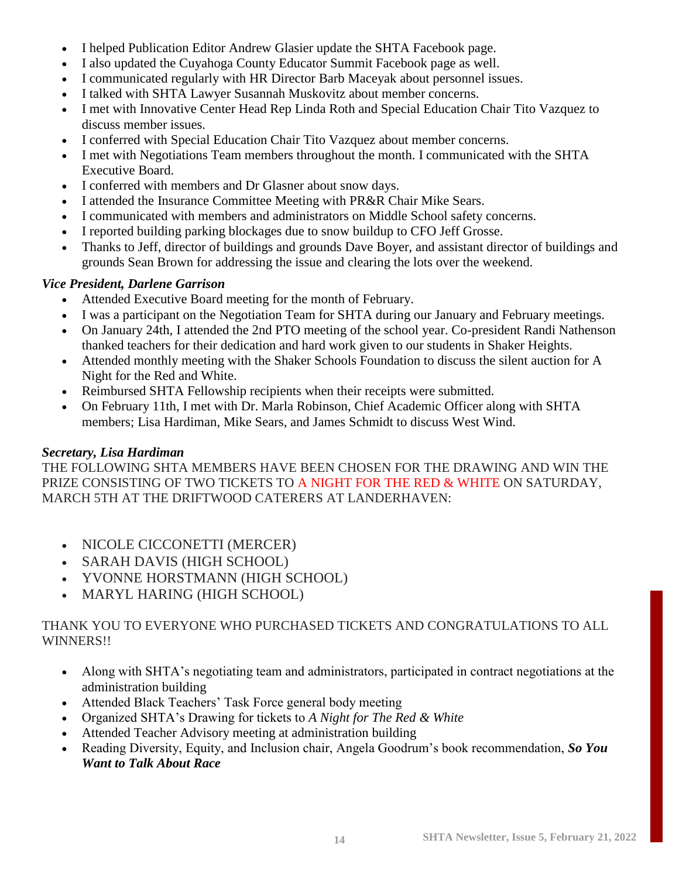- I helped Publication Editor Andrew Glasier update the SHTA Facebook page.
- I also updated the Cuyahoga County Educator Summit Facebook page as well.
- I communicated regularly with HR Director Barb Maceyak about personnel issues.
- I talked with SHTA Lawyer Susannah Muskovitz about member concerns.
- I met with Innovative Center Head Rep Linda Roth and Special Education Chair Tito Vazquez to discuss member issues.
- I conferred with Special Education Chair Tito Vazquez about member concerns.
- I met with Negotiations Team members throughout the month. I communicated with the SHTA Executive Board.
- I conferred with members and Dr Glasner about snow days.
- I attended the Insurance Committee Meeting with PR&R Chair Mike Sears.
- I communicated with members and administrators on Middle School safety concerns.
- I reported building parking blockages due to snow buildup to CFO Jeff Grosse.
- Thanks to Jeff, director of buildings and grounds Dave Boyer, and assistant director of buildings and grounds Sean Brown for addressing the issue and clearing the lots over the weekend.

# *Vice President, Darlene Garrison*

- Attended Executive Board meeting for the month of February.
- I was a participant on the Negotiation Team for SHTA during our January and February meetings.
- On January 24th, I attended the 2nd PTO meeting of the school year. Co-president Randi Nathenson thanked teachers for their dedication and hard work given to our students in Shaker Heights.
- Attended monthly meeting with the Shaker Schools Foundation to discuss the silent auction for A Night for the Red and White.
- Reimbursed SHTA Fellowship recipients when their receipts were submitted.
- On February 11th, I met with Dr. Marla Robinson, Chief Academic Officer along with SHTA members; Lisa Hardiman, Mike Sears, and James Schmidt to discuss West Wind.

# *Secretary, Lisa Hardiman*

THE FOLLOWING SHTA MEMBERS HAVE BEEN CHOSEN FOR THE DRAWING AND WIN THE PRIZE CONSISTING OF TWO TICKETS TO A NIGHT FOR THE RED & WHITE ON SATURDAY, MARCH 5TH AT THE DRIFTWOOD CATERERS AT LANDERHAVEN:

- NICOLE CICCONETTI (MERCER)
- SARAH DAVIS (HIGH SCHOOL)
- YVONNE HORSTMANN (HIGH SCHOOL)
- MARYL HARING (HIGH SCHOOL)

# THANK YOU TO EVERYONE WHO PURCHASED TICKETS AND CONGRATULATIONS TO ALL WINNERS!!

- Along with SHTA's negotiating team and administrators, participated in contract negotiations at the administration building
- Attended Black Teachers' Task Force general body meeting
- Organized SHTA's Drawing for tickets to *A Night for The Red & White*
- Attended Teacher Advisory meeting at administration building
- Reading Diversity, Equity, and Inclusion chair, Angela Goodrum's book recommendation, *So You Want to Talk About Race*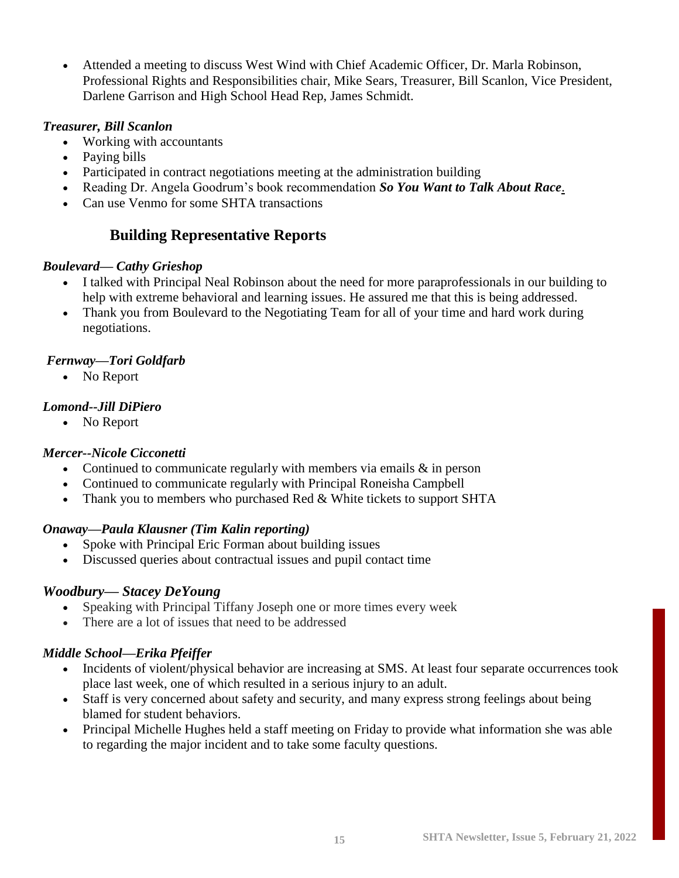• Attended a meeting to discuss West Wind with Chief Academic Officer, Dr. Marla Robinson, Professional Rights and Responsibilities chair, Mike Sears, Treasurer, Bill Scanlon, Vice President, Darlene Garrison and High School Head Rep, James Schmidt.

# *Treasurer, Bill Scanlon*

- Working with accountants
- Paying bills
- Participated in contract negotiations meeting at the administration building
- Reading Dr. Angela Goodrum's book recommendation *So You Want to Talk About Race*.
- Can use Venmo for some SHTA transactions

# **Building Representative Reports**

# *Boulevard— Cathy Grieshop*

- I talked with Principal Neal Robinson about the need for more paraprofessionals in our building to help with extreme behavioral and learning issues. He assured me that this is being addressed.
- Thank you from Boulevard to the Negotiating Team for all of your time and hard work during negotiations.

# *Fernway—Tori Goldfarb*

• No Report

# *Lomond--Jill DiPiero*

• No Report

# *Mercer--Nicole Cicconetti*

- Continued to communicate regularly with members via emails  $\&$  in person
- Continued to communicate regularly with Principal Roneisha Campbell
- Thank you to members who purchased Red & White tickets to support SHTA

# *Onaway—Paula Klausner (Tim Kalin reporting)*

- Spoke with Principal Eric Forman about building issues
- Discussed queries about contractual issues and pupil contact time

# *Woodbury— Stacey DeYoung*

- Speaking with Principal Tiffany Joseph one or more times every week
- There are a lot of issues that need to be addressed

# *Middle School—Erika Pfeiffer*

- Incidents of violent/physical behavior are increasing at SMS. At least four separate occurrences took place last week, one of which resulted in a serious injury to an adult.
- Staff is very concerned about safety and security, and many express strong feelings about being blamed for student behaviors.
- Principal Michelle Hughes held a staff meeting on Friday to provide what information she was able to regarding the major incident and to take some faculty questions.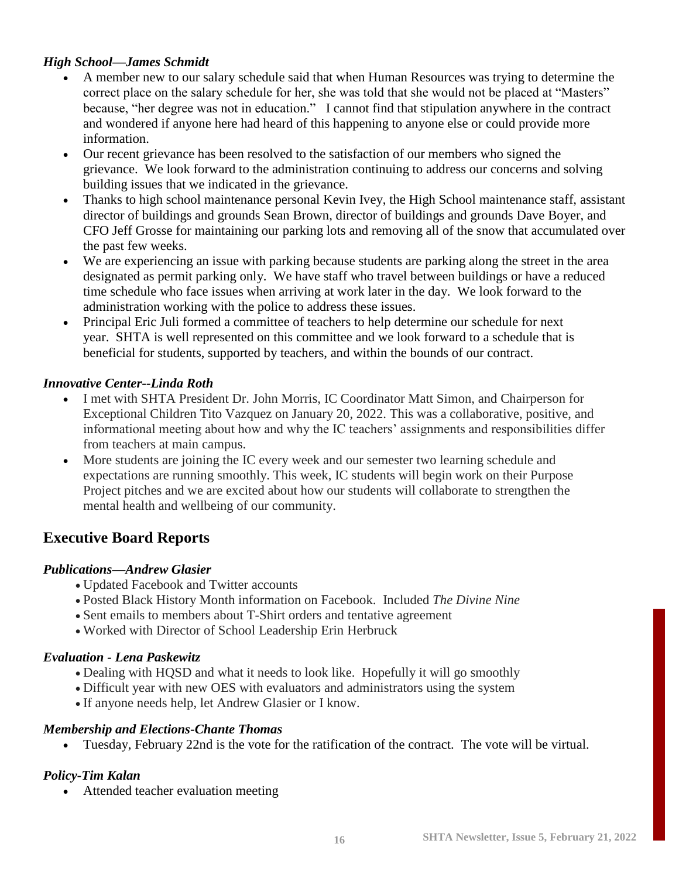# *High School—James Schmidt*

- A member new to our salary schedule said that when Human Resources was trying to determine the correct place on the salary schedule for her, she was told that she would not be placed at "Masters" because, "her degree was not in education." I cannot find that stipulation anywhere in the contract and wondered if anyone here had heard of this happening to anyone else or could provide more information.
- Our recent grievance has been resolved to the satisfaction of our members who signed the grievance. We look forward to the administration continuing to address our concerns and solving building issues that we indicated in the grievance.
- Thanks to high school maintenance personal Kevin Ivey, the High School maintenance staff, assistant director of buildings and grounds Sean Brown, director of buildings and grounds Dave Boyer, and CFO Jeff Grosse for maintaining our parking lots and removing all of the snow that accumulated over the past few weeks.
- We are experiencing an issue with parking because students are parking along the street in the area designated as permit parking only. We have staff who travel between buildings or have a reduced time schedule who face issues when arriving at work later in the day. We look forward to the administration working with the police to address these issues.
- Principal Eric Juli formed a committee of teachers to help determine our schedule for next year. SHTA is well represented on this committee and we look forward to a schedule that is beneficial for students, supported by teachers, and within the bounds of our contract.

# *Innovative Center--Linda Roth*

- I met with SHTA President Dr. John Morris, IC Coordinator Matt Simon, and Chairperson for Exceptional Children Tito Vazquez on January 20, 2022. This was a collaborative, positive, and informational meeting about how and why the IC teachers' assignments and responsibilities differ from teachers at main campus.
- More students are joining the IC every week and our semester two learning schedule and expectations are running smoothly. This week, IC students will begin work on their Purpose Project pitches and we are excited about how our students will collaborate to strengthen the mental health and wellbeing of our community.

# **Executive Board Reports**

# *Publications—Andrew Glasier*

- Updated Facebook and Twitter accounts
- Posted Black History Month information on Facebook. Included *The Divine Nine*
- Sent emails to members about T-Shirt orders and tentative agreement
- Worked with Director of School Leadership Erin Herbruck

# *Evaluation - Lena Paskewitz*

- Dealing with HQSD and what it needs to look like. Hopefully it will go smoothly
- Difficult year with new OES with evaluators and administrators using the system
- If anyone needs help, let Andrew Glasier or I know.

# *Membership and Elections-Chante Thomas*

• Tuesday, February 22nd is the vote for the ratification of the contract. The vote will be virtual.

# *Policy-Tim Kalan*

• Attended teacher evaluation meeting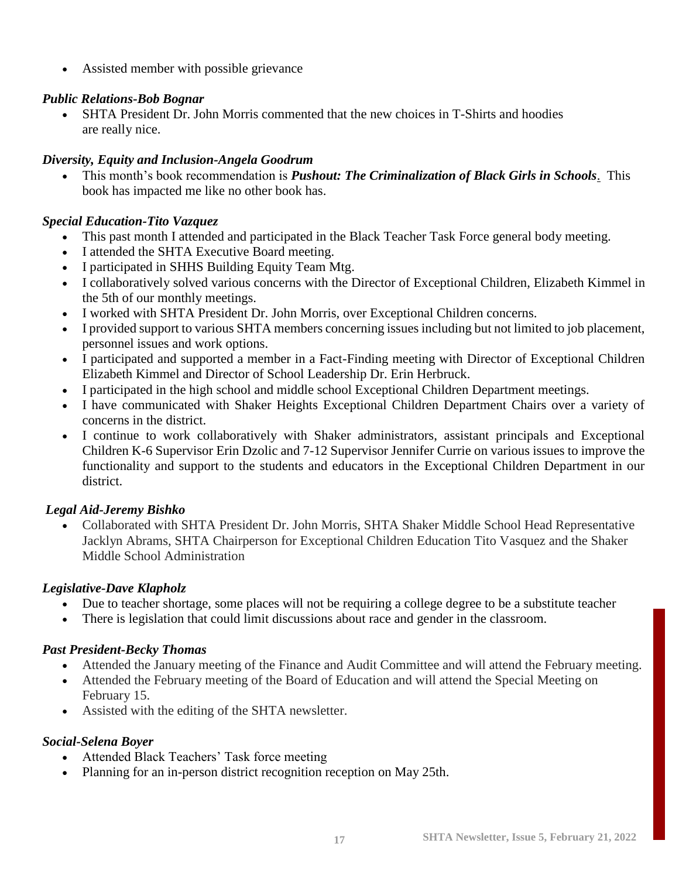• Assisted member with possible grievance

# *Public Relations-Bob Bognar*

• SHTA President Dr. John Morris commented that the new choices in T-Shirts and hoodies are really nice.

# *Diversity, Equity and Inclusion-Angela Goodrum*

• This month's book recommendation is *Pushout: The Criminalization of Black Girls in Schools*. This book has impacted me like no other book has.

# *Special Education-Tito Vazquez*

- This past month I attended and participated in the Black Teacher Task Force general body meeting.
- I attended the SHTA Executive Board meeting.
- I participated in SHHS Building Equity Team Mtg.
- I collaboratively solved various concerns with the Director of Exceptional Children, Elizabeth Kimmel in the 5th of our monthly meetings.
- I worked with SHTA President Dr. John Morris, over Exceptional Children concerns.
- I provided support to various SHTA members concerning issues including but not limited to job placement, personnel issues and work options.
- I participated and supported a member in a Fact-Finding meeting with Director of Exceptional Children Elizabeth Kimmel and Director of School Leadership Dr. Erin Herbruck.
- I participated in the high school and middle school Exceptional Children Department meetings.
- I have communicated with Shaker Heights Exceptional Children Department Chairs over a variety of concerns in the district.
- I continue to work collaboratively with Shaker administrators, assistant principals and Exceptional Children K-6 Supervisor Erin Dzolic and 7-12 Supervisor Jennifer Currie on various issues to improve the functionality and support to the students and educators in the Exceptional Children Department in our district.

# *Legal Aid-Jeremy Bishko*

• Collaborated with SHTA President Dr. John Morris, SHTA Shaker Middle School Head Representative Jacklyn Abrams, SHTA Chairperson for Exceptional Children Education Tito Vasquez and the Shaker Middle School Administration

# *Legislative-Dave Klapholz*

- Due to teacher shortage, some places will not be requiring a college degree to be a substitute teacher
- There is legislation that could limit discussions about race and gender in the classroom.

# *Past President-Becky Thomas*

- Attended the January meeting of the Finance and Audit Committee and will attend the February meeting.
- Attended the February meeting of the Board of Education and will attend the Special Meeting on February 15.
- Assisted with the editing of the SHTA newsletter.

# *Social-Selena Boyer*

- Attended Black Teachers' Task force meeting
- Planning for an in-person district recognition reception on May 25th.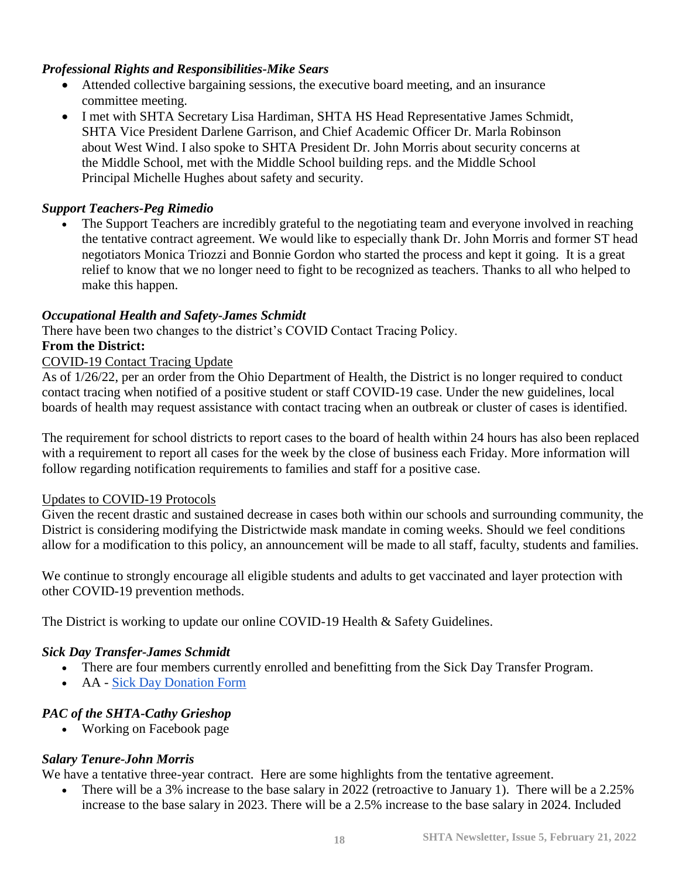# *Professional Rights and Responsibilities-Mike Sears*

- Attended collective bargaining sessions, the executive board meeting, and an insurance committee meeting.
- I met with SHTA Secretary Lisa Hardiman, SHTA HS Head Representative James Schmidt, SHTA Vice President Darlene Garrison, and Chief Academic Officer Dr. Marla Robinson about West Wind. I also spoke to SHTA President Dr. John Morris about security concerns at the Middle School, met with the Middle School building reps. and the Middle School Principal Michelle Hughes about safety and security.

# *Support Teachers-Peg Rimedio*

• The Support Teachers are incredibly grateful to the negotiating team and everyone involved in reaching the tentative contract agreement. We would like to especially thank Dr. John Morris and former ST head negotiators Monica Triozzi and Bonnie Gordon who started the process and kept it going. It is a great relief to know that we no longer need to fight to be recognized as teachers. Thanks to all who helped to make this happen.

# *Occupational Health and Safety-James Schmidt*

There have been two changes to the district's COVID Contact Tracing Policy.

# **From the District:**

#### COVID-19 Contact Tracing Update

As of 1/26/22, per an order from the Ohio Department of Health, the District is no longer required to conduct contact tracing when notified of a positive student or staff COVID-19 case. Under the new guidelines, local boards of health may request assistance with contact tracing when an outbreak or cluster of cases is identified.

The requirement for school districts to report cases to the board of health within 24 hours has also been replaced with a requirement to report all cases for the week by the close of business each Friday. More information will follow regarding notification requirements to families and staff for a positive case.

#### Updates to COVID-19 Protocols

Given the recent drastic and sustained decrease in cases both within our schools and surrounding community, the District is considering modifying the Districtwide mask mandate in coming weeks. Should we feel conditions allow for a modification to this policy, an announcement will be made to all staff, faculty, students and families.

We continue to strongly encourage all eligible students and adults to get vaccinated and layer protection with other COVID-19 prevention methods.

The District is working to update our online COVID-19 Health & Safety Guidelines.

# *Sick Day Transfer-James Schmidt*

- There are four members currently enrolled and benefitting from the Sick Day Transfer Program.
- AA [Sick Day Donation Form](https://docs.google.com/document/d/1oCPv0Knm1IfB38w8WiyMfNT9GSArN8m4crlRm3M-RxU/edit?usp=sharing)

# *PAC of the SHTA-Cathy Grieshop*

• Working on Facebook page

# *Salary Tenure-John Morris*

We have a tentative three-year contract. Here are some highlights from the tentative agreement.

• There will be a 3% increase to the base salary in 2022 (retroactive to January 1). There will be a 2.25% increase to the base salary in 2023. There will be a 2.5% increase to the base salary in 2024. Included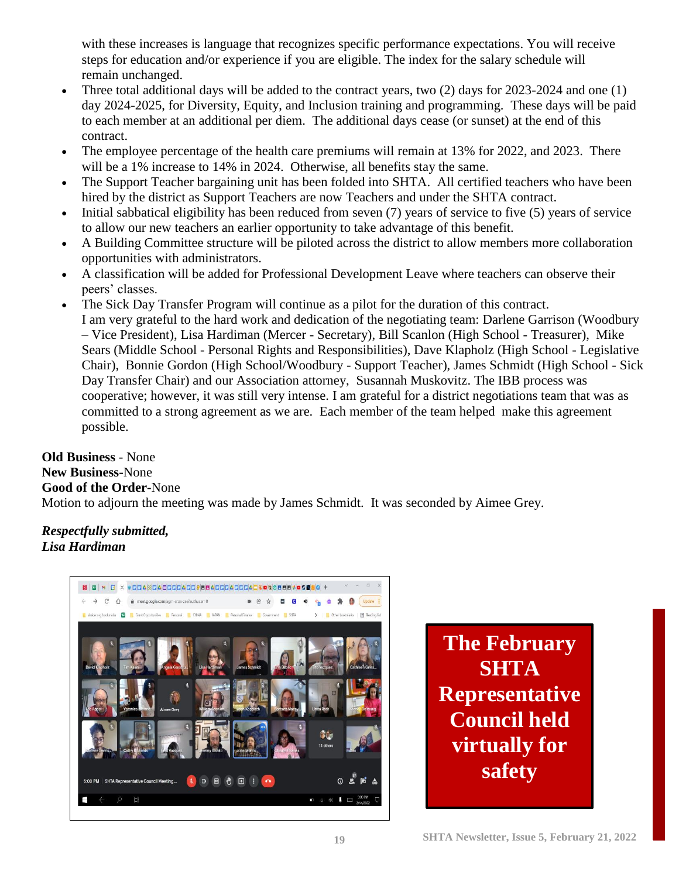with these increases is language that recognizes specific performance expectations. You will receive steps for education and/or experience if you are eligible. The index for the salary schedule will remain unchanged.

- Three total additional days will be added to the contract years, two (2) days for 2023-2024 and one (1) day 2024-2025, for Diversity, Equity, and Inclusion training and programming. These days will be paid to each member at an additional per diem. The additional days cease (or sunset) at the end of this contract.
- The employee percentage of the health care premiums will remain at 13% for 2022, and 2023. There will be a 1% increase to 14% in 2024. Otherwise, all benefits stay the same.
- The Support Teacher bargaining unit has been folded into SHTA. All certified teachers who have been hired by the district as Support Teachers are now Teachers and under the SHTA contract.
- Initial sabbatical eligibility has been reduced from seven (7) years of service to five (5) years of service to allow our new teachers an earlier opportunity to take advantage of this benefit.
- A Building Committee structure will be piloted across the district to allow members more collaboration opportunities with administrators.
- A classification will be added for Professional Development Leave where teachers can observe their peers' classes.
- The Sick Day Transfer Program will continue as a pilot for the duration of this contract. I am very grateful to the hard work and dedication of the negotiating team: Darlene Garrison (Woodbury – Vice President), Lisa Hardiman (Mercer - Secretary), Bill Scanlon (High School - Treasurer), Mike Sears (Middle School - Personal Rights and Responsibilities), Dave Klapholz (High School - Legislative Chair), Bonnie Gordon (High School/Woodbury - Support Teacher), James Schmidt (High School - Sick Day Transfer Chair) and our Association attorney, Susannah Muskovitz. The IBB process was cooperative; however, it was still very intense. I am grateful for a district negotiations team that was as committed to a strong agreement as we are. Each member of the team helped make this agreement possible.

**Old Business** - None **New Business-**None **Good of the Order-**None Motion to adjourn the meeting was made by James Schmidt. It was seconded by Aimee Grey.

# *Respectfully submitted, Lisa Hardiman*



**The February SHTA Representative Council held virtually for safety**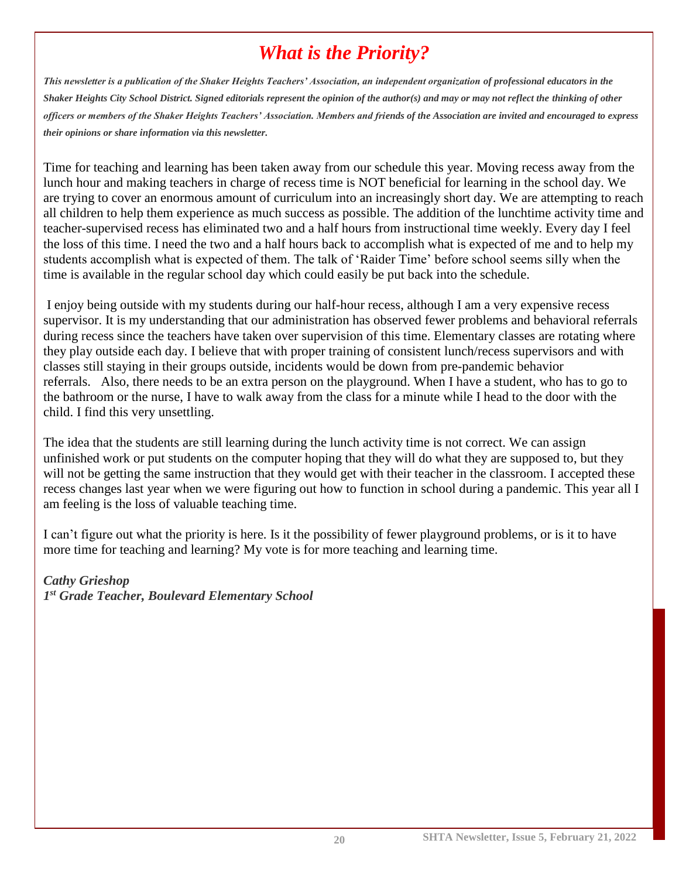# *What is the Priority?*

*This newsletter is a publication of the Shaker Heights Teachers' Association, an independent organization of professional educators in the Shaker Heights City School District. Signed editorials represent the opinion of the author(s) and may or may not reflect the thinking of other officers or members of the Shaker Heights Teachers' Association. Members and friends of the Association are invited and encouraged to express their opinions or share information via this newsletter.*

Time for teaching and learning has been taken away from our schedule this year. Moving recess away from the lunch hour and making teachers in charge of recess time is NOT beneficial for learning in the school day. We are trying to cover an enormous amount of curriculum into an increasingly short day. We are attempting to reach all children to help them experience as much success as possible. The addition of the lunchtime activity time and teacher-supervised recess has eliminated two and a half hours from instructional time weekly. Every day I feel the loss of this time. I need the two and a half hours back to accomplish what is expected of me and to help my students accomplish what is expected of them. The talk of 'Raider Time' before school seems silly when the time is available in the regular school day which could easily be put back into the schedule.

I enjoy being outside with my students during our half-hour recess, although I am a very expensive recess supervisor. It is my understanding that our administration has observed fewer problems and behavioral referrals during recess since the teachers have taken over supervision of this time. Elementary classes are rotating where they play outside each day. I believe that with proper training of consistent lunch/recess supervisors and with classes still staying in their groups outside, incidents would be down from pre-pandemic behavior referrals. Also, there needs to be an extra person on the playground. When I have a student, who has to go to the bathroom or the nurse, I have to walk away from the class for a minute while I head to the door with the child. I find this very unsettling.

The idea that the students are still learning during the lunch activity time is not correct. We can assign unfinished work or put students on the computer hoping that they will do what they are supposed to, but they will not be getting the same instruction that they would get with their teacher in the classroom. I accepted these recess changes last year when we were figuring out how to function in school during a pandemic. This year all I am feeling is the loss of valuable teaching time.

I can't figure out what the priority is here. Is it the possibility of fewer playground problems, or is it to have more time for teaching and learning? My vote is for more teaching and learning time.

# *Cathy Grieshop 1 st Grade Teacher, Boulevard Elementary School*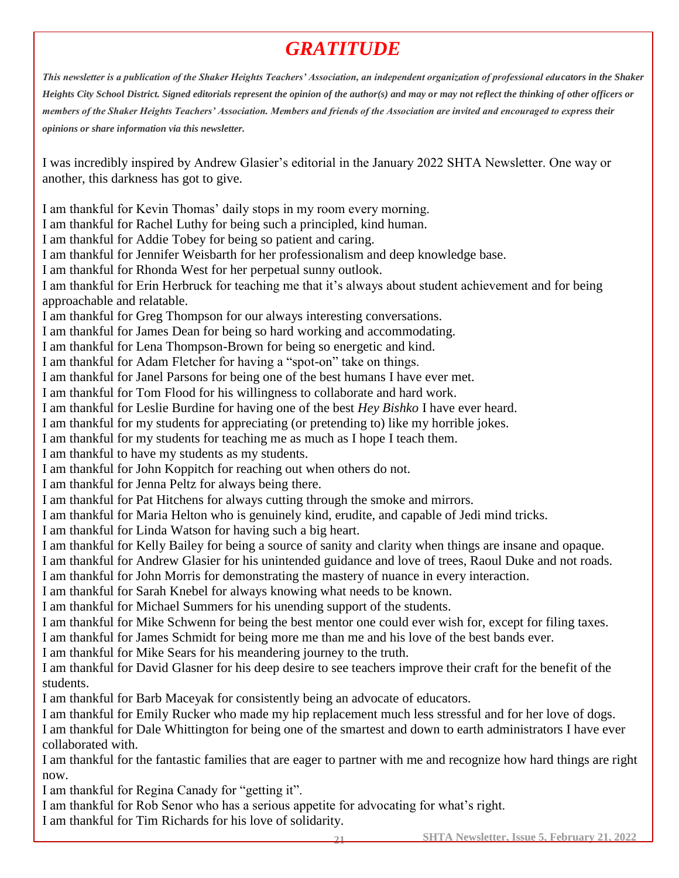# *GRATITUDE*

*This newsletter is a publication of the Shaker Heights Teachers' Association, an independent organization of professional educators in the Shaker Heights City School District. Signed editorials represent the opinion of the author(s) and may or may not reflect the thinking of other officers or members of the Shaker Heights Teachers' Association. Members and friends of the Association are invited and encouraged to express their opinions or share information via this newsletter.*

I was incredibly inspired by Andrew Glasier's editorial in the January 2022 SHTA Newsletter. One way or another, this darkness has got to give.

I am thankful for Kevin Thomas' daily stops in my room every morning. I am thankful for Rachel Luthy for being such a principled, kind human. I am thankful for Addie Tobey for being so patient and caring. I am thankful for Jennifer Weisbarth for her professionalism and deep knowledge base. I am thankful for Rhonda West for her perpetual sunny outlook. I am thankful for Erin Herbruck for teaching me that it's always about student achievement and for being approachable and relatable. I am thankful for Greg Thompson for our always interesting conversations. I am thankful for James Dean for being so hard working and accommodating. I am thankful for Lena Thompson-Brown for being so energetic and kind. I am thankful for Adam Fletcher for having a "spot-on" take on things. I am thankful for Janel Parsons for being one of the best humans I have ever met. I am thankful for Tom Flood for his willingness to collaborate and hard work. I am thankful for Leslie Burdine for having one of the best *Hey Bishko* I have ever heard. I am thankful for my students for appreciating (or pretending to) like my horrible jokes. I am thankful for my students for teaching me as much as I hope I teach them. I am thankful to have my students as my students. I am thankful for John Koppitch for reaching out when others do not. I am thankful for Jenna Peltz for always being there. I am thankful for Pat Hitchens for always cutting through the smoke and mirrors. I am thankful for Maria Helton who is genuinely kind, erudite, and capable of Jedi mind tricks. I am thankful for Linda Watson for having such a big heart. I am thankful for Kelly Bailey for being a source of sanity and clarity when things are insane and opaque. I am thankful for Andrew Glasier for his unintended guidance and love of trees, Raoul Duke and not roads. I am thankful for John Morris for demonstrating the mastery of nuance in every interaction. I am thankful for Sarah Knebel for always knowing what needs to be known. I am thankful for Michael Summers for his unending support of the students. I am thankful for Mike Schwenn for being the best mentor one could ever wish for, except for filing taxes. I am thankful for James Schmidt for being more me than me and his love of the best bands ever. I am thankful for Mike Sears for his meandering journey to the truth. I am thankful for David Glasner for his deep desire to see teachers improve their craft for the benefit of the students. I am thankful for Barb Maceyak for consistently being an advocate of educators. I am thankful for Emily Rucker who made my hip replacement much less stressful and for her love of dogs. I am thankful for Dale Whittington for being one of the smartest and down to earth administrators I have ever collaborated with. I am thankful for the fantastic families that are eager to partner with me and recognize how hard things are right now. I am thankful for Regina Canady for "getting it". I am thankful for Rob Senor who has a serious appetite for advocating for what's right. I am thankful for Tim Richards for his love of solidarity.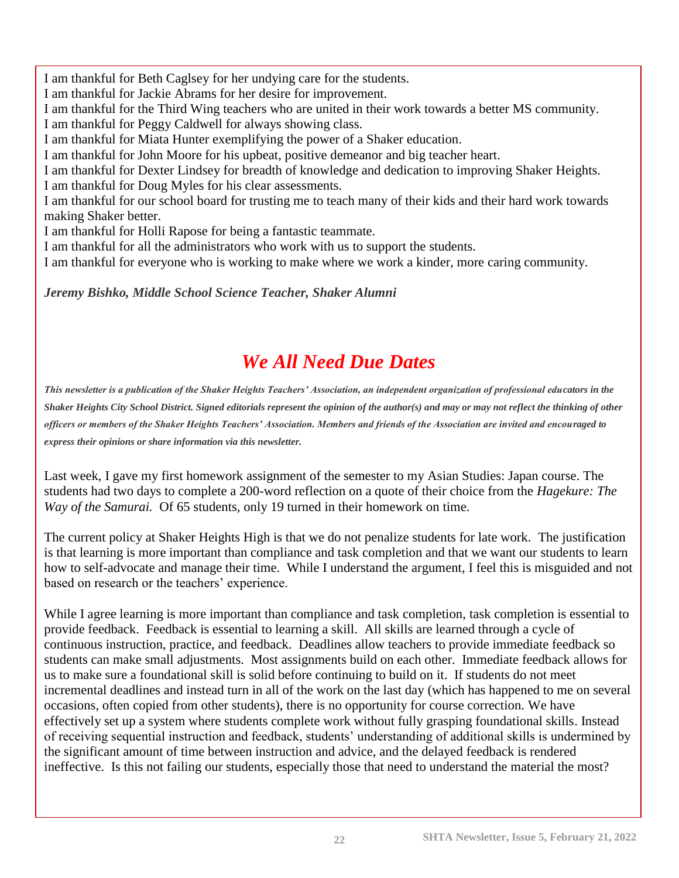I am thankful for Beth Caglsey for her undying care for the students.

I am thankful for Jackie Abrams for her desire for improvement.

I am thankful for the Third Wing teachers who are united in their work towards a better MS community. I am thankful for Peggy Caldwell for always showing class.

I am thankful for Miata Hunter exemplifying the power of a Shaker education.

I am thankful for John Moore for his upbeat, positive demeanor and big teacher heart.

I am thankful for Dexter Lindsey for breadth of knowledge and dedication to improving Shaker Heights. I am thankful for Doug Myles for his clear assessments.

I am thankful for our school board for trusting me to teach many of their kids and their hard work towards making Shaker better.

I am thankful for Holli Rapose for being a fantastic teammate.

I am thankful for all the administrators who work with us to support the students.

I am thankful for everyone who is working to make where we work a kinder, more caring community.

*Jeremy Bishko, Middle School Science Teacher, Shaker Alumni*

# *We All Need Due Dates*

*This newsletter is a publication of the Shaker Heights Teachers' Association, an independent organization of professional educators in the Shaker Heights City School District. Signed editorials represent the opinion of the author(s) and may or may not reflect the thinking of other officers or members of the Shaker Heights Teachers' Association. Members and friends of the Association are invited and encouraged to express their opinions or share information via this newsletter.*

Last week, I gave my first homework assignment of the semester to my Asian Studies: Japan course. The students had two days to complete a 200-word reflection on a quote of their choice from the *Hagekure: The Way of the Samurai.* Of 65 students, only 19 turned in their homework on time.

The current policy at Shaker Heights High is that we do not penalize students for late work. The justification is that learning is more important than compliance and task completion and that we want our students to learn how to self-advocate and manage their time. While I understand the argument, I feel this is misguided and not based on research or the teachers' experience.

While I agree learning is more important than compliance and task completion, task completion is essential to provide feedback. Feedback is essential to learning a skill. All skills are learned through a cycle of continuous instruction, practice, and feedback. Deadlines allow teachers to provide immediate feedback so students can make small adjustments. Most assignments build on each other. Immediate feedback allows for us to make sure a foundational skill is solid before continuing to build on it. If students do not meet incremental deadlines and instead turn in all of the work on the last day (which has happened to me on several occasions, often copied from other students), there is no opportunity for course correction. We have effectively set up a system where students complete work without fully grasping foundational skills. Instead of receiving sequential instruction and feedback, students' understanding of additional skills is undermined by the significant amount of time between instruction and advice, and the delayed feedback is rendered ineffective. Is this not failing our students, especially those that need to understand the material the most?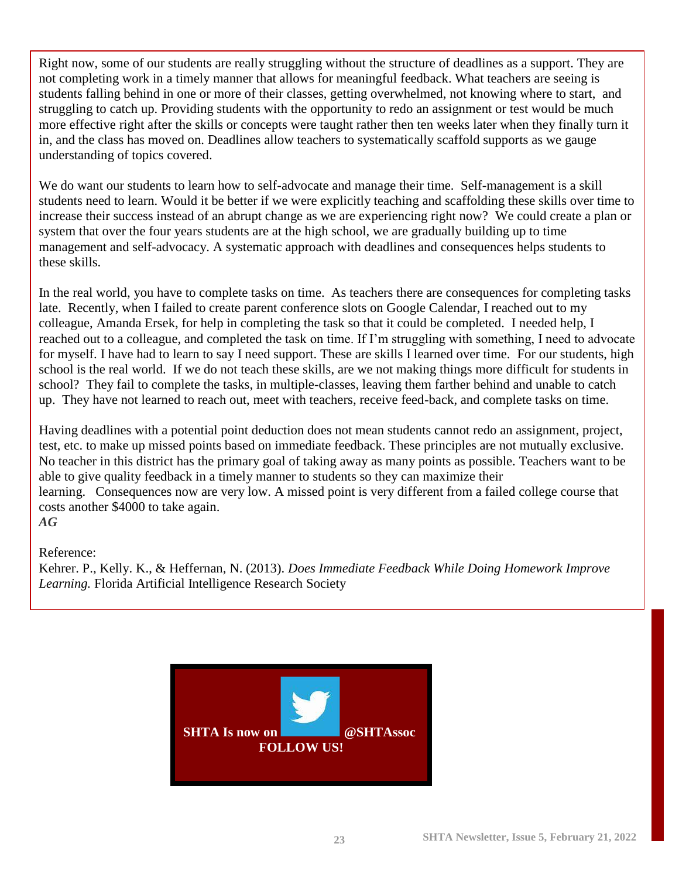Right now, some of our students are really struggling without the structure of deadlines as a support. They are not completing work in a timely manner that allows for meaningful feedback. What teachers are seeing is students falling behind in one or more of their classes, getting overwhelmed, not knowing where to start, and struggling to catch up. Providing students with the opportunity to redo an assignment or test would be much more effective right after the skills or concepts were taught rather then ten weeks later when they finally turn it in, and the class has moved on. Deadlines allow teachers to systematically scaffold supports as we gauge understanding of topics covered.

We do want our students to learn how to self-advocate and manage their time. Self-management is a skill students need to learn. Would it be better if we were explicitly teaching and scaffolding these skills over time to increase their success instead of an abrupt change as we are experiencing right now? We could create a plan or system that over the four years students are at the high school, we are gradually building up to time management and self-advocacy. A systematic approach with deadlines and consequences helps students to these skills.

In the real world, you have to complete tasks on time. As teachers there are consequences for completing tasks late. Recently, when I failed to create parent conference slots on Google Calendar, I reached out to my colleague, Amanda Ersek, for help in completing the task so that it could be completed. I needed help, I reached out to a colleague, and completed the task on time. If I'm struggling with something, I need to advocate for myself. I have had to learn to say I need support. These are skills I learned over time. For our students, high school is the real world. If we do not teach these skills, are we not making things more difficult for students in school? They fail to complete the tasks, in multiple-classes, leaving them farther behind and unable to catch up. They have not learned to reach out, meet with teachers, receive feed-back, and complete tasks on time.

Having deadlines with a potential point deduction does not mean students cannot redo an assignment, project, test, etc. to make up missed points based on immediate feedback. These principles are not mutually exclusive. No teacher in this district has the primary goal of taking away as many points as possible. Teachers want to be able to give quality feedback in a timely manner to students so they can maximize their learning. Consequences now are very low. A missed point is very different from a failed college course that costs another \$4000 to take again. *AG*

Reference:

Kehrer. P., Kelly. K., & Heffernan, N. (2013). *Does Immediate Feedback While Doing Homework Improve Learning.* Florida Artificial Intelligence Research Society